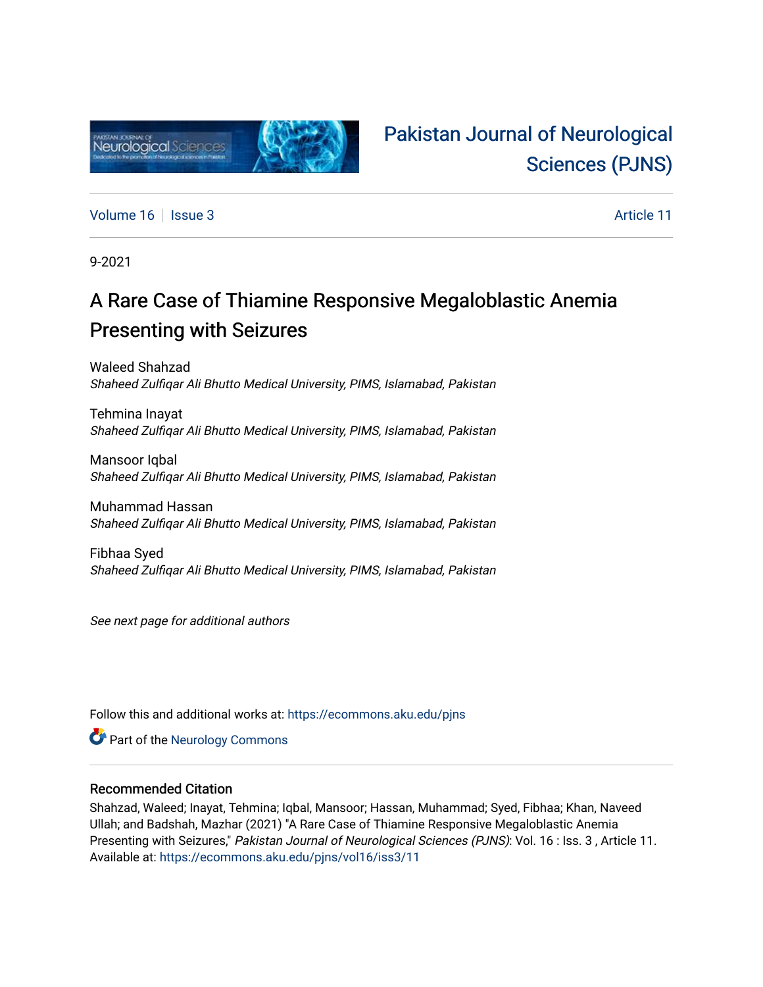

# [Pakistan Journal of Neurological](https://ecommons.aku.edu/pjns)  [Sciences \(PJNS\)](https://ecommons.aku.edu/pjns)

[Volume 16](https://ecommons.aku.edu/pjns/vol16) | [Issue 3](https://ecommons.aku.edu/pjns/vol16/iss3) Article 11

9-2021

# A Rare Case of Thiamine Responsive Megaloblastic Anemia Presenting with Seizures

Waleed Shahzad Shaheed Zulfiqar Ali Bhutto Medical University, PIMS, Islamabad, Pakistan

Tehmina Inayat Shaheed Zulfiqar Ali Bhutto Medical University, PIMS, Islamabad, Pakistan

Mansoor Iqbal Shaheed Zulfiqar Ali Bhutto Medical University, PIMS, Islamabad, Pakistan

Muhammad Hassan Shaheed Zulfiqar Ali Bhutto Medical University, PIMS, Islamabad, Pakistan

Fibhaa Syed Shaheed Zulfiqar Ali Bhutto Medical University, PIMS, Islamabad, Pakistan

See next page for additional authors

Follow this and additional works at: [https://ecommons.aku.edu/pjns](https://ecommons.aku.edu/pjns?utm_source=ecommons.aku.edu%2Fpjns%2Fvol16%2Fiss3%2F11&utm_medium=PDF&utm_campaign=PDFCoverPages) 

Part of the [Neurology Commons](http://network.bepress.com/hgg/discipline/692?utm_source=ecommons.aku.edu%2Fpjns%2Fvol16%2Fiss3%2F11&utm_medium=PDF&utm_campaign=PDFCoverPages)

### Recommended Citation

Shahzad, Waleed; Inayat, Tehmina; Iqbal, Mansoor; Hassan, Muhammad; Syed, Fibhaa; Khan, Naveed Ullah; and Badshah, Mazhar (2021) "A Rare Case of Thiamine Responsive Megaloblastic Anemia Presenting with Seizures," Pakistan Journal of Neurological Sciences (PJNS): Vol. 16 : Iss. 3, Article 11. Available at: [https://ecommons.aku.edu/pjns/vol16/iss3/11](https://ecommons.aku.edu/pjns/vol16/iss3/11?utm_source=ecommons.aku.edu%2Fpjns%2Fvol16%2Fiss3%2F11&utm_medium=PDF&utm_campaign=PDFCoverPages)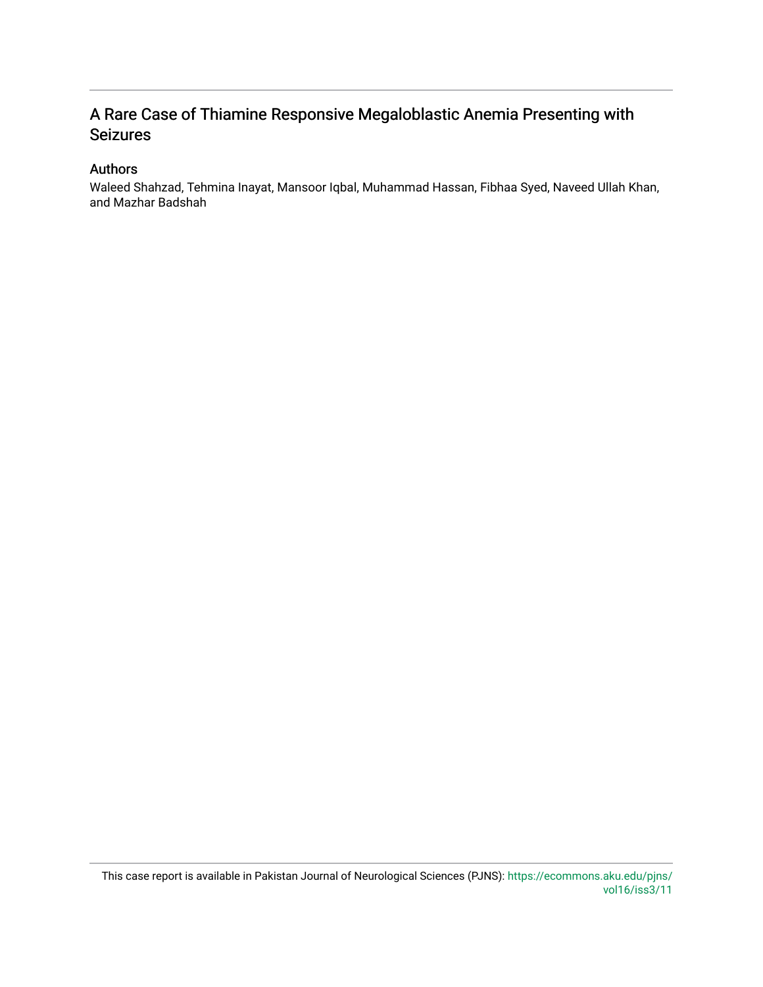### A Rare Case of Thiamine Responsive Megaloblastic Anemia Presenting with Seizures

### Authors

Waleed Shahzad, Tehmina Inayat, Mansoor Iqbal, Muhammad Hassan, Fibhaa Syed, Naveed Ullah Khan, and Mazhar Badshah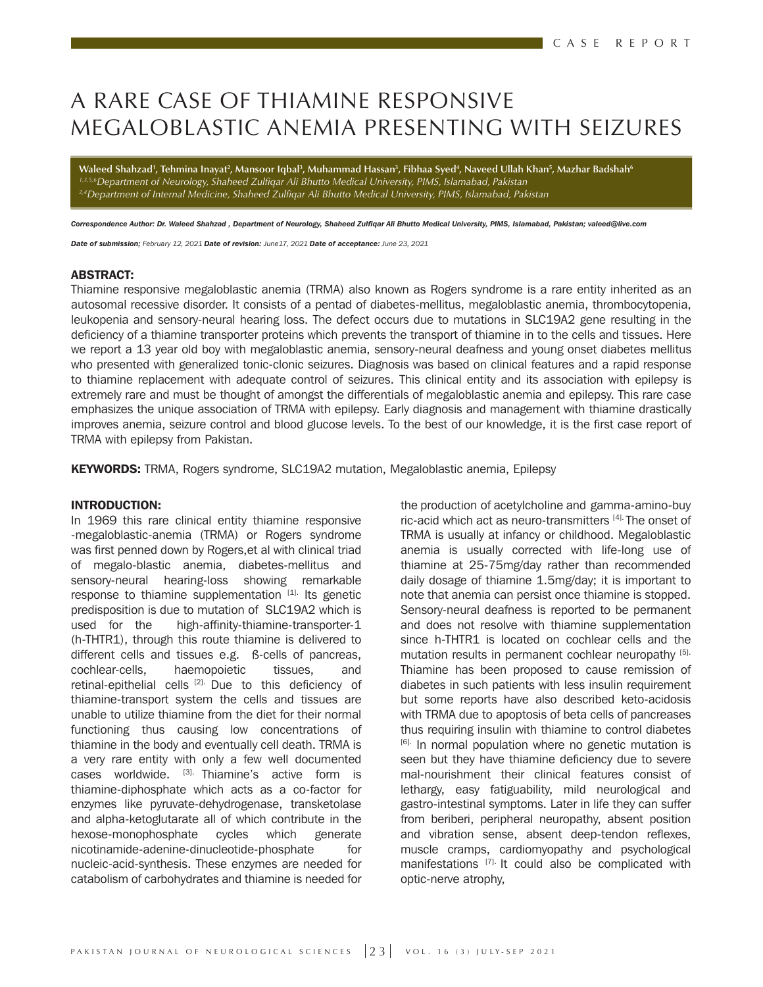# A RARE CASE OF THIAMINE RESPONSIVE MEGALOBLASTIC ANEMIA PRESENTING WITH SEIZURES

Waleed Shahzad<sup>1</sup>, Tehmina Inayat<sup>2</sup>, Mansoor Iqbal<sup>3</sup>, Muhammad Hassan<sup>3</sup>, Fibhaa Syed<sup>4</sup>, Naveed Ullah Khan<sup>5</sup>, Mazhar Badshah<sup>6</sup> *1,3,5,6Department of Neurology, Shaheed Zulqar Ali Bhutto Medical University, PIMS, Islamabad, Pakistan* <sup>2,4</sup>Department of Internal Medicine, Shaheed Zulfigar Ali Bhutto Medical University, PIMS, Islamabad, Pakistan

*Correspondence Author: Dr. Waleed Shahzad , Department of Neurology, Shaheed Zulfiqar Ali Bhutto Medical University, PIMS, Islamabad, Pakistan; valeed@live.com*

*Date of submission; February 12, 2021 Date of revision: June17, 2021 Date of acceptance: June 23, 2021*

#### ABSTRACT:

Thiamine responsive megaloblastic anemia (TRMA) also known as Rogers syndrome is a rare entity inherited as an autosomal recessive disorder. It consists of a pentad of diabetes-mellitus, megaloblastic anemia, thrombocytopenia, leukopenia and sensory-neural hearing loss. The defect occurs due to mutations in SLC19A2 gene resulting in the deficiency of a thiamine transporter proteins which prevents the transport of thiamine in to the cells and tissues. Here we report a 13 year old boy with megaloblastic anemia, sensory-neural deafness and young onset diabetes mellitus who presented with generalized tonic-clonic seizures. Diagnosis was based on clinical features and a rapid response to thiamine replacement with adequate control of seizures. This clinical entity and its association with epilepsy is extremely rare and must be thought of amongst the differentials of megaloblastic anemia and epilepsy. This rare case emphasizes the unique association of TRMA with epilepsy. Early diagnosis and management with thiamine drastically improves anemia, seizure control and blood glucose levels. To the best of our knowledge, it is the first case report of TRMA with epilepsy from Pakistan.

**KEYWORDS:** TRMA, Rogers syndrome, SLC19A2 mutation, Megaloblastic anemia, Epilepsy

#### INTRODUCTION:

In 1969 this rare clinical entity thiamine responsive -megaloblastic-anemia (TRMA) or Rogers syndrome was first penned down by Rogers,et al with clinical triad of megalo-blastic anemia, diabetes-mellitus and sensory-neural hearing-loss showing remarkable response to thiamine supplementation [1]. Its genetic predisposition is due to mutation of SLC19A2 which is used for the high-affinity-thiamine-transporter-1 (h-THTR1), through this route thiamine is delivered to different cells and tissues e.g. ß-cells of pancreas, cochlear-cells, haemopoietic tissues, and retinal-epithelial cells [2]. Due to this deficiency of thiamine-transport system the cells and tissues are unable to utilize thiamine from the diet for their normal functioning thus causing low concentrations of thiamine in the body and eventually cell death. TRMA is a very rare entity with only a few well documented cases worldwide. <a>[3]</a> Thiamine's active form is thiamine-diphosphate which acts as a co-factor for enzymes like pyruvate-dehydrogenase, transketolase and alpha-ketoglutarate all of which contribute in the hexose-monophosphate cycles which generate nicotinamide-adenine-dinucleotide-phosphate for nucleic-acid-synthesis. These enzymes are needed for catabolism of carbohydrates and thiamine is needed for

the production of acetylcholine and gamma-amino-buy ric-acid which act as neuro-transmitters [4]. The onset of TRMA is usually at infancy or childhood. Megaloblastic anemia is usually corrected with life-long use of thiamine at 25-75mg/day rather than recommended daily dosage of thiamine 1.5mg/day; it is important to note that anemia can persist once thiamine is stopped. Sensory-neural deafness is reported to be permanent and does not resolve with thiamine supplementation since h-THTR1 is located on cochlear cells and the mutation results in permanent cochlear neuropathy [5]. Thiamine has been proposed to cause remission of diabetes in such patients with less insulin requirement but some reports have also described keto-acidosis with TRMA due to apoptosis of beta cells of pancreases thus requiring insulin with thiamine to control diabetes [6]. In normal population where no genetic mutation is seen but they have thiamine deficiency due to severe mal-nourishment their clinical features consist of lethargy, easy fatiguability, mild neurological and gastro-intestinal symptoms. Later in life they can suffer from beriberi, peripheral neuropathy, absent position and vibration sense, absent deep-tendon reflexes, muscle cramps, cardiomyopathy and psychological manifestations [7]. It could also be complicated with optic-nerve atrophy,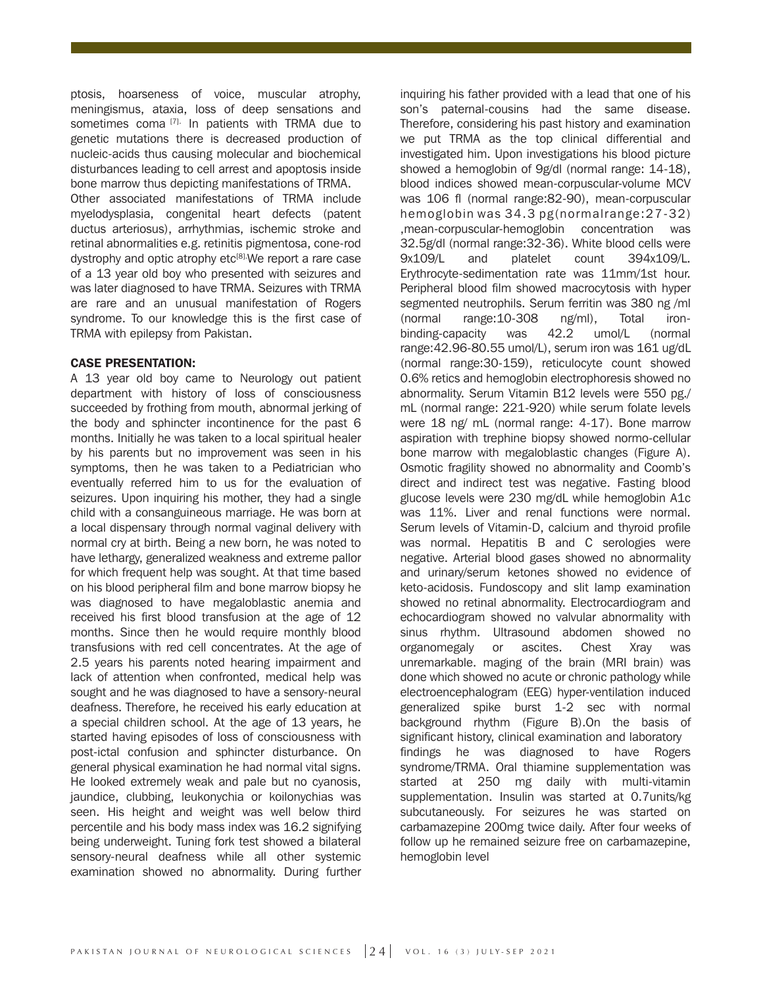ptosis, hoarseness of voice, muscular atrophy, meningismus, ataxia, loss of deep sensations and sometimes coma<sup>[7].</sup> In patients with TRMA due to genetic mutations there is decreased production of nucleic-acids thus causing molecular and biochemical disturbances leading to cell arrest and apoptosis inside bone marrow thus depicting manifestations of TRMA.

Other associated manifestations of TRMA include myelodysplasia, congenital heart defects (patent ductus arteriosus), arrhythmias, ischemic stroke and retinal abnormalities e.g. retinitis pigmentosa, cone-rod dystrophy and optic atrophy etc<sup>[8]</sup>. We report a rare case of a 13 year old boy who presented with seizures and was later diagnosed to have TRMA. Seizures with TRMA are rare and an unusual manifestation of Rogers syndrome. To our knowledge this is the first case of TRMA with epilepsy from Pakistan.

#### CASE PRESENTATION:

A 13 year old boy came to Neurology out patient department with history of loss of consciousness succeeded by frothing from mouth, abnormal jerking of the body and sphincter incontinence for the past 6 months. Initially he was taken to a local spiritual healer by his parents but no improvement was seen in his symptoms, then he was taken to a Pediatrician who eventually referred him to us for the evaluation of seizures. Upon inquiring his mother, they had a single child with a consanguineous marriage. He was born at a local dispensary through normal vaginal delivery with normal cry at birth. Being a new born, he was noted to have lethargy, generalized weakness and extreme pallor for which frequent help was sought. At that time based on his blood peripheral film and bone marrow biopsy he was diagnosed to have megaloblastic anemia and received his first blood transfusion at the age of 12 months. Since then he would require monthly blood transfusions with red cell concentrates. At the age of 2.5 years his parents noted hearing impairment and lack of attention when confronted, medical help was sought and he was diagnosed to have a sensory-neural deafness. Therefore, he received his early education at a special children school. At the age of 13 years, he started having episodes of loss of consciousness with post-ictal confusion and sphincter disturbance. On general physical examination he had normal vital signs. He looked extremely weak and pale but no cyanosis, jaundice, clubbing, leukonychia or koilonychias was seen. His height and weight was well below third percentile and his body mass index was 16.2 signifying being underweight. Tuning fork test showed a bilateral sensory-neural deafness while all other systemic examination showed no abnormality. During further

inquiring his father provided with a lead that one of his son's paternal-cousins had the same disease. Therefore, considering his past history and examination we put TRMA as the top clinical differential and investigated him. Upon investigations his blood picture showed a hemoglobin of 9g/dl (normal range: 14-18), blood indices showed mean-corpuscular-volume MCV was 106 fl (normal range:82-90), mean-corpuscular hemoglobin was 34.3 pg(normalrange:27-32) ,mean-corpuscular-hemoglobin concentration was 32.5g/dl (normal range:32-36). White blood cells were 9x109/L and platelet count 394x109/L. Erythrocyte-sedimentation rate was 11mm/1st hour. Peripheral blood film showed macrocytosis with hyper segmented neutrophils. Serum ferritin was 380 ng /ml (normal range:10-308 ng/ml), Total ironbinding-capacity was 42.2 umol/L (normal range:42.96-80.55 umol/L), serum iron was 161 ug/dL (normal range:30-159), reticulocyte count showed 0.6% retics and hemoglobin electrophoresis showed no abnormality. Serum Vitamin B12 levels were 550 pg./ mL (normal range: 221-920) while serum folate levels were 18 ng/ mL (normal range: 4-17). Bone marrow aspiration with trephine biopsy showed normo-cellular bone marrow with megaloblastic changes (Figure A). Osmotic fragility showed no abnormality and Coomb's direct and indirect test was negative. Fasting blood glucose levels were 230 mg/dL while hemoglobin A1c was 11%. Liver and renal functions were normal. Serum levels of Vitamin-D, calcium and thyroid profile was normal. Hepatitis B and C serologies were negative. Arterial blood gases showed no abnormality and urinary/serum ketones showed no evidence of keto-acidosis. Fundoscopy and slit lamp examination showed no retinal abnormality. Electrocardiogram and echocardiogram showed no valvular abnormality with sinus rhythm. Ultrasound abdomen showed no organomegaly or ascites. Chest Xray was unremarkable. maging of the brain (MRI brain) was done which showed no acute or chronic pathology while electroencephalogram (EEG) hyper-ventilation induced generalized spike burst 1-2 sec with normal background rhythm (Figure B).On the basis of significant history, clinical examination and laboratory findings he was diagnosed to have Rogers syndrome/TRMA. Oral thiamine supplementation was started at 250 mg daily with multi-vitamin supplementation. Insulin was started at 0.7units/kg subcutaneously. For seizures he was started on carbamazepine 200mg twice daily. After four weeks of follow up he remained seizure free on carbamazepine, hemoglobin level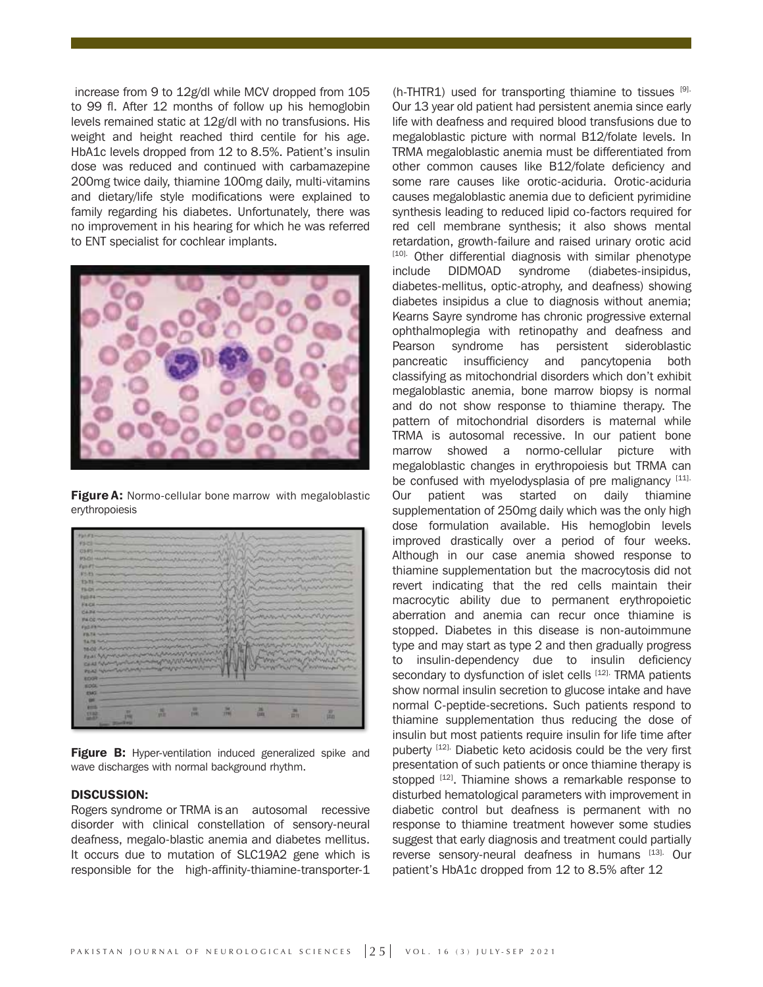increase from 9 to 12g/dl while MCV dropped from 105 to 99 fl. After 12 months of follow up his hemoglobin levels remained static at 12g/dl with no transfusions. His weight and height reached third centile for his age. HbA1c levels dropped from 12 to 8.5%. Patient's insulin dose was reduced and continued with carbamazepine 200mg twice daily, thiamine 100mg daily, multi-vitamins and dietary/life style modifications were explained to family regarding his diabetes. Unfortunately, there was no improvement in his hearing for which he was referred to ENT specialist for cochlear implants.



**Figure A:** Normo-cellular bone marrow with megaloblastic erythropoiesis



Figure B: Hyper-ventilation induced generalized spike and wave discharges with normal background rhythm.

#### DISCUSSION:

Rogers syndrome or TRMA is an autosomal recessive disorder with clinical constellation of sensory-neural deafness, megalo-blastic anemia and diabetes mellitus. It occurs due to mutation of SLC19A2 gene which is responsible for the high-affinity-thiamine-transporter-1 (h-THTR1) used for transporting thiamine to tissues  $[9]$ . Our 13 year old patient had persistent anemia since early life with deafness and required blood transfusions due to megaloblastic picture with normal B12/folate levels. In TRMA megaloblastic anemia must be differentiated from other common causes like B12/folate deficiency and some rare causes like orotic-aciduria. Orotic-aciduria causes megaloblastic anemia due to deficient pyrimidine synthesis leading to reduced lipid co-factors required for red cell membrane synthesis; it also shows mental retardation, growth-failure and raised urinary orotic acid [10]. Other differential diagnosis with similar phenotype include DIDMOAD syndrome (diabetes-insipidus, diabetes-mellitus, optic-atrophy, and deafness) showing diabetes insipidus a clue to diagnosis without anemia; Kearns Sayre syndrome has chronic progressive external ophthalmoplegia with retinopathy and deafness and Pearson syndrome has persistent sideroblastic pancreatic insufficiency and pancytopenia both classifying as mitochondrial disorders which don't exhibit megaloblastic anemia, bone marrow biopsy is normal and do not show response to thiamine therapy. The pattern of mitochondrial disorders is maternal while TRMA is autosomal recessive. In our patient bone marrow showed a normo-cellular picture with megaloblastic changes in erythropoiesis but TRMA can be confused with myelodysplasia of pre malignancy [11]. Our patient was started on daily thiamine supplementation of 250mg daily which was the only high dose formulation available. His hemoglobin levels improved drastically over a period of four weeks. Although in our case anemia showed response to thiamine supplementation but the macrocytosis did not revert indicating that the red cells maintain their macrocytic ability due to permanent erythropoietic aberration and anemia can recur once thiamine is stopped. Diabetes in this disease is non-autoimmune type and may start as type 2 and then gradually progress to insulin-dependency due to insulin deficiency secondary to dysfunction of islet cells [12]. TRMA patients show normal insulin secretion to glucose intake and have normal C-peptide-secretions. Such patients respond to thiamine supplementation thus reducing the dose of insulin but most patients require insulin for life time after puberty [12]. Diabetic keto acidosis could be the very first presentation of such patients or once thiamine therapy is stopped [12]. Thiamine shows a remarkable response to disturbed hematological parameters with improvement in diabetic control but deafness is permanent with no response to thiamine treatment however some studies suggest that early diagnosis and treatment could partially reverse sensory-neural deafness in humans [13]. Our patient's HbA1c dropped from 12 to 8.5% after 12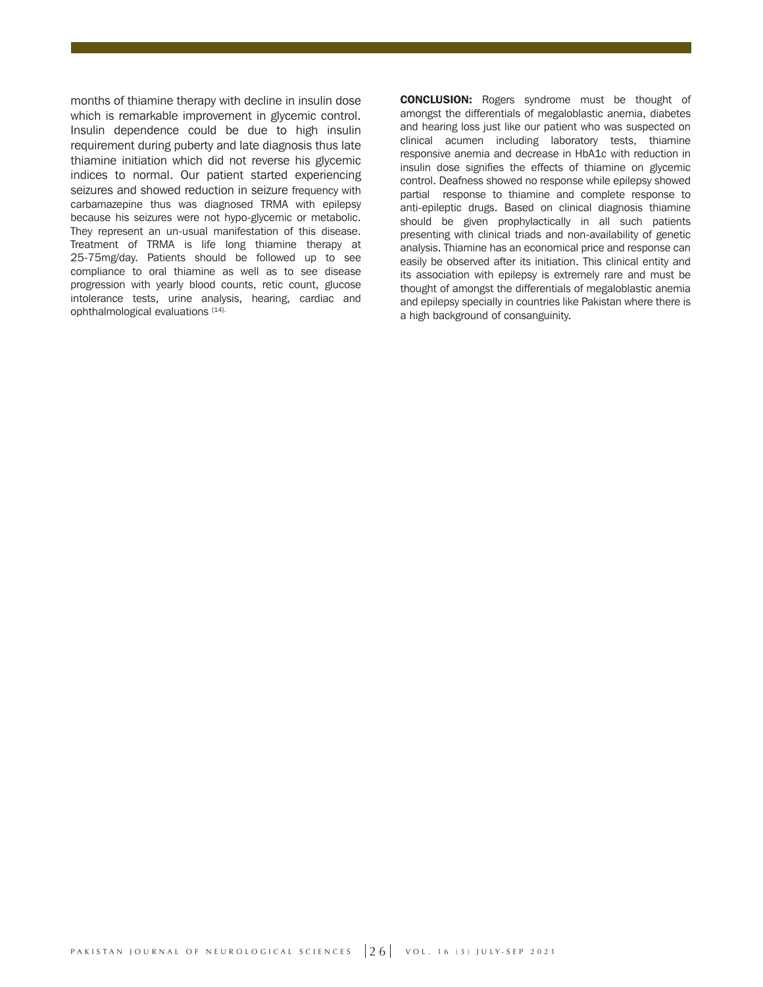months of thiamine therapy with decline in insulin dose which is remarkable improvement in glycemic control. Insulin dependence could be due to high insulin requirement during puberty and late diagnosis thus late thiamine initiation which did not reverse his glycemic indices to normal. Our patient started experiencing seizures and showed reduction in seizure frequency with carbamazepine thus was diagnosed TRMA with epilepsy because his seizures were not hypo-glycemic or metabolic. They represent an un-usual manifestation of this disease. Treatment of TRMA is life long thiamine therapy at 25-75mg/day. Patients should be followed up to see compliance to oral thiamine as well as to see disease progression with yearly blood counts, retic count, glucose intolerance tests, urine analysis, hearing, cardiac and ophthalmological evaluations [14].

CONCLUSION: Rogers syndrome must be thought of amongst the differentials of megaloblastic anemia, diabetes and hearing loss just like our patient who was suspected on clinical acumen including laboratory tests, thiamine responsive anemia and decrease in HbA1c with reduction in insulin dose signifies the effects of thiamine on glycemic control. Deafness showed no response while epilepsy showed partial response to thiamine and complete response to anti-epileptic drugs. Based on clinical diagnosis thiamine should be given prophylactically in all such patients presenting with clinical triads and non-availability of genetic analysis. Thiamine has an economical price and response can easily be observed after its initiation. This clinical entity and its association with epilepsy is extremely rare and must be thought of amongst the differentials of megaloblastic anemia and epilepsy specially in countries like Pakistan where there is a high background of consanguinity.